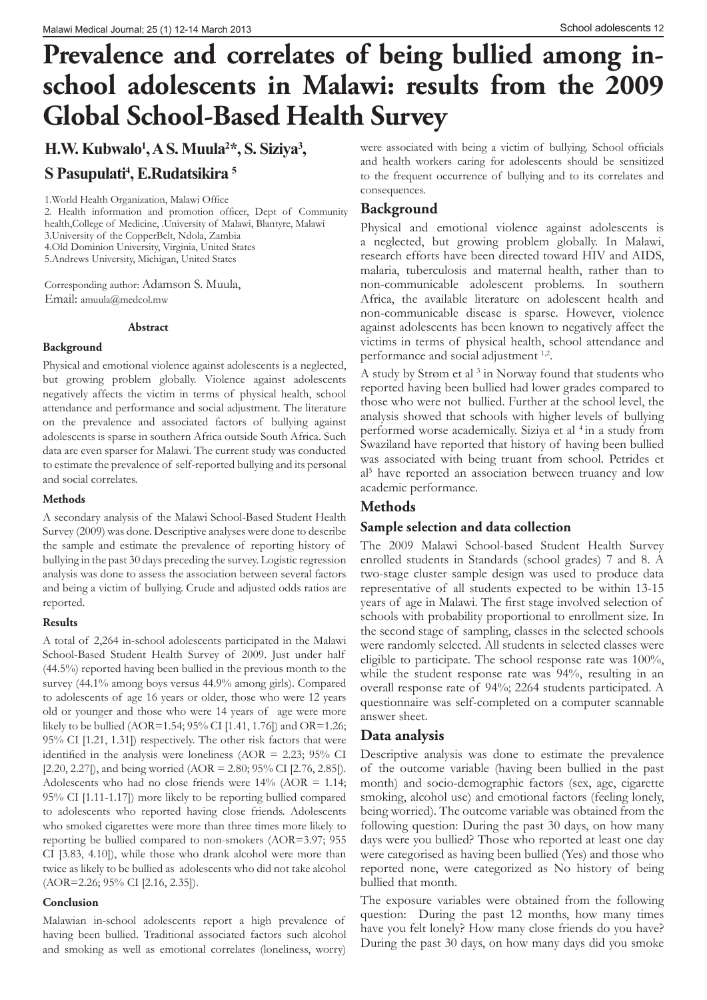# **Prevalence and correlates of being bullied among inschool adolescents in Malawi: results from the 2009 Global School-Based Health Survey**

**H.W. Kubwalo1 , A S. Muula2 \*, S. Siziya3 ,** 

**S Pasupulati4 , E.Rudatsikira 5**

1.World Health Organization, Malawi Office

2. Health information and promotion officer, Dept of Community health,College of Medicine, .University of Malawi, Blantyre, Malawi 3.University of the CopperBelt, Ndola, Zambia 4.Old Dominion University, Virginia, United States

5.Andrews University, Michigan, United States

Corresponding author: Adamson S. Muula, Email: amuula@medcol.mw

#### **Abstract**

#### **Background**

Physical and emotional violence against adolescents is a neglected, but growing problem globally. Violence against adolescents negatively affects the victim in terms of physical health, school attendance and performance and social adjustment. The literature on the prevalence and associated factors of bullying against adolescents is sparse in southern Africa outside South Africa. Such data are even sparser for Malawi. The current study was conducted to estimate the prevalence of self-reported bullying and its personal and social correlates.

#### **Methods**

A secondary analysis of the Malawi School-Based Student Health Survey (2009) was done. Descriptive analyses were done to describe the sample and estimate the prevalence of reporting history of bullying in the past 30 days preceding the survey. Logistic regression analysis was done to assess the association between several factors and being a victim of bullying. Crude and adjusted odds ratios are reported.

## **Results**

A total of 2,264 in-school adolescents participated in the Malawi School-Based Student Health Survey of 2009. Just under half (44.5%) reported having been bullied in the previous month to the survey (44.1% among boys versus 44.9% among girls). Compared to adolescents of age 16 years or older, those who were 12 years old or younger and those who were 14 years of age were more likely to be bullied (AOR=1.54; 95% CI [1.41, 1.76]) and OR=1.26; 95% CI [1.21, 1.31]) respectively. The other risk factors that were identified in the analysis were loneliness ( $AOR = 2.23$ ;  $95\%$  CI  $[2.20, 2.27]$ , and being worried (AOR = 2.80; 95% CI  $[2.76, 2.85]$ ). Adolescents who had no close friends were  $14\%$  (AOR = 1.14; 95% CI [1.11-1.17]) more likely to be reporting bullied compared to adolescents who reported having close friends. Adolescents who smoked cigarettes were more than three times more likely to reporting be bullied compared to non-smokers (AOR=3.97; 955 CI [3.83, 4.10]), while those who drank alcohol were more than twice as likely to be bullied as adolescents who did not take alcohol (AOR=2.26; 95% CI [2.16, 2.35]).

#### **Conclusion**

Malawian in-school adolescents report a high prevalence of having been bullied. Traditional associated factors such alcohol and smoking as well as emotional correlates (loneliness, worry)

were associated with being a victim of bullying. School officials and health workers caring for adolescents should be sensitized to the frequent occurrence of bullying and to its correlates and consequences.

## **Background**

Physical and emotional violence against adolescents is a neglected, but growing problem globally. In Malawi, research efforts have been directed toward HIV and AIDS, malaria, tuberculosis and maternal health, rather than to non-communicable adolescent problems. In southern Africa, the available literature on adolescent health and non-communicable disease is sparse. However, violence against adolescents has been known to negatively affect the victims in terms of physical health, school attendance and performance and social adjustment <sup>1,2</sup>.

A study by Strøm et al<sup>3</sup> in Norway found that students who reported having been bullied had lower grades compared to those who were not bullied. Further at the school level, the analysis showed that schools with higher levels of bullying performed worse academically. Siziya et al <sup>4</sup> in a study from Swaziland have reported that history of having been bullied was associated with being truant from school. Petrides et al5 have reported an association between truancy and low academic performance.

## **Methods**

## **Sample selection and data collection**

The 2009 Malawi School-based Student Health Survey enrolled students in Standards (school grades) 7 and 8. A two-stage cluster sample design was used to produce data representative of all students expected to be within 13-15 years of age in Malawi. The first stage involved selection of schools with probability proportional to enrollment size. In the second stage of sampling, classes in the selected schools were randomly selected. All students in selected classes were eligible to participate. The school response rate was 100%, while the student response rate was 94%, resulting in an overall response rate of 94%; 2264 students participated. A questionnaire was self-completed on a computer scannable answer sheet.

## **Data analysis**

Descriptive analysis was done to estimate the prevalence of the outcome variable (having been bullied in the past month) and socio-demographic factors (sex, age, cigarette smoking, alcohol use) and emotional factors (feeling lonely, being worried). The outcome variable was obtained from the following question: During the past 30 days, on how many days were you bullied? Those who reported at least one day were categorised as having been bullied (Yes) and those who reported none, were categorized as No history of being bullied that month.

The exposure variables were obtained from the following question: During the past 12 months, how many times have you felt lonely? How many close friends do you have? During the past 30 days, on how many days did you smoke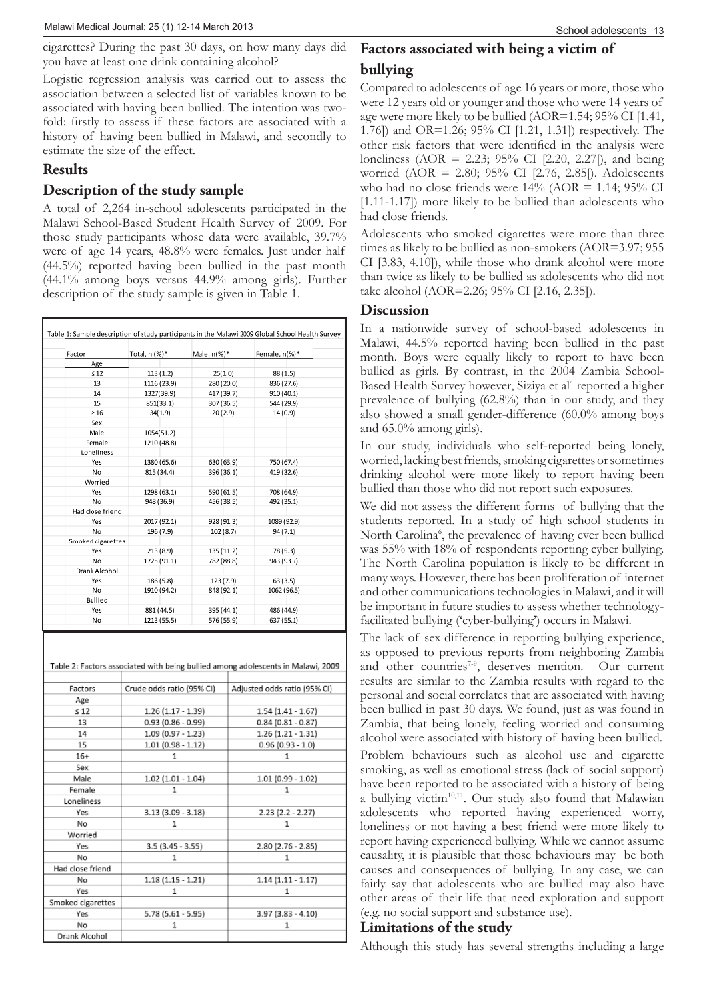cigarettes? During the past 30 days, on how many days did you have at least one drink containing alcohol?

Logistic regression analysis was carried out to assess the association between a selected list of variables known to be associated with having been bullied. The intention was twofold: firstly to assess if these factors are associated with a history of having been bullied in Malawi, and secondly to estimate the size of the effect.

## **Results**

## **Description of the study sample**

A total of 2,264 in-school adolescents participated in the Malawi School-Based Student Health Survey of 2009. For those study participants whose data were available, 39.7% were of age 14 years, 48.8% were females. Just under half (44.5%) reported having been bullied in the past month (44.1% among boys versus 44.9% among girls). Further description of the study sample is given in Table 1.

| Factor            | Total, n (%)* | Male, n(%)* | Female, n(%)* |
|-------------------|---------------|-------------|---------------|
|                   |               |             |               |
| Age<br>$\leq 12$  |               |             |               |
| 13                | 113(1.2)      | 25(1.0)     | 88 (1.5)      |
|                   | 1116 (23.9)   | 280 (20.0)  | 836 (27.6)    |
| 14                | 1327(39.9)    | 417 (39.7)  | 910 (40.1)    |
| 15                | 851(33.1)     | 307 (36.5)  | 544 (29.9)    |
| $\geq 16$         | 34(1.9)       | 20(2.9)     | 14(0.9)       |
| Sex               |               |             |               |
| Male              | 1054(51.2)    |             |               |
| Female            | 1210 (48.8)   |             |               |
| Loneliness        |               |             |               |
| Yes               | 1380 (65.6)   | 630 (63.9)  | 750 (67.4)    |
| No                | 815 (34.4)    | 396 (36.1)  | 419 (32.6)    |
| Worried           |               |             |               |
| Yes               | 1298 (63.1)   | 590 (61.5)  | 708 (64.9)    |
| No                | 948 (36.9)    | 456 (38.5)  | 492 (35.1)    |
| Had close friend  |               |             |               |
| Yes               | 2017 (92.1)   | 928 (91.3)  | 1089 (92.9)   |
| No                | 196 (7.9)     | 102 (8.7)   | 94(7.1)       |
| Smoked cigarettes |               |             |               |
| Yes               | 213(8.9)      | 135 (11.2)  | 78 (5.3)      |
| No                | 1725 (91.1)   | 782 (88.8)  | 943 (93.7)    |
| Drank Alcohol     |               |             |               |
| Yes               | 186 (5.8)     | 123 (7.9)   | 63 (3.5)      |
| No                | 1910 (94.2)   | 848 (92.1)  | 1062 (96.5)   |
| Bullied           |               |             |               |
| Yes               | 881 (44.5)    | 395 (44.1)  | 486 (44.9)    |
| No                | 1213 (55.5)   | 576 (55.9)  | 637 (55.1)    |

| Table 2: Factors associated with being bullied among adolescents in Malawi, 2009 |  |  |
|----------------------------------------------------------------------------------|--|--|
|                                                                                  |  |  |

| Factors           | Crude odds ratio (95% CI) | Adjusted odds ratio (95% CI) |  |
|-------------------|---------------------------|------------------------------|--|
| Age               |                           |                              |  |
| $\leq 12$         | $1.26(1.17 - 1.39)$       | $1.54(1.41 - 1.67)$          |  |
| 13                | $0.93(0.86 - 0.99)$       | $0.84(0.81 - 0.87)$          |  |
| 14                | $1.09$ (0.97 - 1.23)      | $1.26(1.21 - 1.31)$          |  |
| 15                | $1.01$ (0.98 - 1.12)      | $0.96(0.93 - 1.0)$           |  |
| $16+$             | 1                         | 1                            |  |
| Sex               |                           |                              |  |
| Male              | $1.02$ (1.01 - 1.04)      | $1.01(0.99 - 1.02)$          |  |
| Female            | 1                         | 1                            |  |
| Loneliness        |                           |                              |  |
| Yes               | $3.13(3.09 - 3.18)$       | $2.23(2.2 - 2.27)$           |  |
| No                | 1                         | 1                            |  |
| Worried           |                           |                              |  |
| Yes               | $3.5(3.45 - 3.55)$        | $2.80(2.76 - 2.85)$          |  |
| No                | 1                         | 1                            |  |
| Had close friend  |                           |                              |  |
| No                | $1.18(1.15 - 1.21)$       | $1.14(1.11 - 1.17)$          |  |
| Yes               | 1                         | 1                            |  |
| Smoked cigarettes |                           |                              |  |
| Yes               | 5.78 (5.61 - 5.95)        | $3.97(3.83 - 4.10)$          |  |
| No                | 1                         | 1                            |  |
| Drank Alcohol     |                           |                              |  |

## **Factors associated with being a victim of bullying**

Compared to adolescents of age 16 years or more, those who were 12 years old or younger and those who were 14 years of age were more likely to be bullied (AOR=1.54; 95% CI [1.41, 1.76]) and OR=1.26; 95% CI [1.21, 1.31]) respectively. The other risk factors that were identified in the analysis were loneliness (AOR = 2.23; 95% CI [2.20, 2.27[), and being worried (AOR = 2.80; 95% CI [2.76, 2.85[). Adolescents who had no close friends were  $14\%$  (AOR = 1.14;  $95\%$  CI [1.11-1.17]) more likely to be bullied than adolescents who had close friends.

Adolescents who smoked cigarettes were more than three times as likely to be bullied as non-smokers (AOR=3.97; 955 CI [3.83, 4.10]), while those who drank alcohol were more than twice as likely to be bullied as adolescents who did not take alcohol (AOR=2.26; 95% CI [2.16, 2.35]).

## **Discussion**

In a nationwide survey of school-based adolescents in Malawi, 44.5% reported having been bullied in the past month. Boys were equally likely to report to have been bullied as girls. By contrast, in the 2004 Zambia School-Based Health Survey however, Siziya et al<sup>4</sup> reported a higher prevalence of bullying (62.8%) than in our study, and they also showed a small gender-difference (60.0% among boys and 65.0% among girls).

In our study, individuals who self-reported being lonely, worried, lacking best friends, smoking cigarettes or sometimes drinking alcohol were more likely to report having been bullied than those who did not report such exposures.

We did not assess the different forms of bullying that the students reported. In a study of high school students in North Carolina<sup>6</sup>, the prevalence of having ever been bullied was 55% with 18% of respondents reporting cyber bullying. The North Carolina population is likely to be different in many ways. However, there has been proliferation of internet and other communications technologies in Malawi, and it will be important in future studies to assess whether technologyfacilitated bullying ('cyber-bullying') occurs in Malawi.

The lack of sex difference in reporting bullying experience, as opposed to previous reports from neighboring Zambia and other countries<sup>7-9</sup>, deserves mention. Our current results are similar to the Zambia results with regard to the personal and social correlates that are associated with having been bullied in past 30 days. We found, just as was found in Zambia, that being lonely, feeling worried and consuming alcohol were associated with history of having been bullied.

Problem behaviours such as alcohol use and cigarette smoking, as well as emotional stress (lack of social support) have been reported to be associated with a history of being a bullying victim<sup>10,11</sup>. Our study also found that Malawian adolescents who reported having experienced worry, loneliness or not having a best friend were more likely to report having experienced bullying. While we cannot assume causality, it is plausible that those behaviours may be both causes and consequences of bullying. In any case, we can fairly say that adolescents who are bullied may also have other areas of their life that need exploration and support (e.g. no social support and substance use).

## **Limitations of the study**

Although this study has several strengths including a large